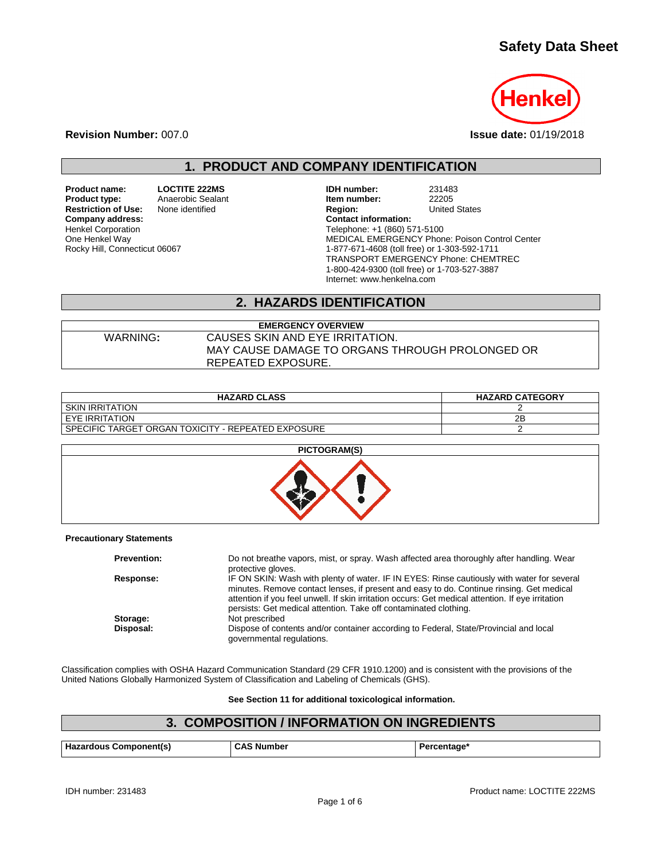# **Safety Data Sheet**



**Revision Number:** 007.0 **Issue date:** 01/19/2018

**1. PRODUCT AND COMPANY IDENTIFICATION**

**Restriction of Use:** None identified **Region:** Region: **Company address:** Company address: **Company address:** Henkel Corporation One Henkel Way Rocky Hill, Connecticut 06067

**Product name: LOCTITE 222MS IDH number:** 231483<br> **Product type:** Anaerobic Sealant **Internal idem number:** 22205 **Product Sealant Realant 1.1 Sealant 1.1 Sealant 1.1 Sealant 1.1 Sealant 1.1 Sealant 1.1 Sealant 1.1 Sealant 1.1 Sealant 1.1 Sealant 1.1 Sealant 1.1 Sealant 1.1 Sealant 1.1 Sealant 1.1 Sealant 1.1 Sealant 1.1 Sealant 1.1 S** Telephone: +1 (860) 571-5100 MEDICAL EMERGENCY Phone: Poison Control Center 1-877-671-4608 (toll free) or 1-303-592-1711 TRANSPORT EMERGENCY Phone: CHEMTREC 1-800-424-9300 (toll free) or 1-703-527-3887 Internet: www.henkelna.com

## **2. HAZARDS IDENTIFICATION**

| <b>EMERGENCY OVERVIEW</b> |                                                                       |  |
|---------------------------|-----------------------------------------------------------------------|--|
| WARNING:                  | CAUSES SKIN AND EYE IRRITATION.                                       |  |
|                           | MAY CAUSE DAMAGE TO ORGANS THROUGH PROLONGED OR<br>REPEATED EXPOSURE. |  |
|                           |                                                                       |  |

| <b>HAZARD CLASS</b>                                | <b>HAZARD CATEGORY</b> |
|----------------------------------------------------|------------------------|
| <b>SKIN IRRITATION</b>                             |                        |
| I EYE IRRITATION                                   | 2B                     |
| SPECIFIC TARGET ORGAN TOXICITY - REPEATED EXPOSURE |                        |



#### **Precautionary Statements**

| <b>Prevention:</b> | Do not breathe vapors, mist, or spray. Wash affected area thoroughly after handling. Wear<br>protective gloves.                                                                                                                                                                                                                                                 |
|--------------------|-----------------------------------------------------------------------------------------------------------------------------------------------------------------------------------------------------------------------------------------------------------------------------------------------------------------------------------------------------------------|
| Response:          | IF ON SKIN: Wash with plenty of water. IF IN EYES: Rinse cautiously with water for several<br>minutes. Remove contact lenses, if present and easy to do. Continue rinsing. Get medical<br>attention if you feel unwell. If skin irritation occurs: Get medical attention. If eye irritation<br>persists: Get medical attention. Take off contaminated clothing. |
| Storage:           | Not prescribed                                                                                                                                                                                                                                                                                                                                                  |
| Disposal:          | Dispose of contents and/or container according to Federal, State/Provincial and local<br>governmental regulations.                                                                                                                                                                                                                                              |

Classification complies with OSHA Hazard Communication Standard (29 CFR 1910.1200) and is consistent with the provisions of the United Nations Globally Harmonized System of Classification and Labeling of Chemicals (GHS).

**See Section 11 for additional toxicological information.**

## **3. COMPOSITION / INFORMATION ON INGREDIENTS**

| Hazardous Component(s) | <b>CAS Number</b> | Percentage <sup>®</sup> |
|------------------------|-------------------|-------------------------|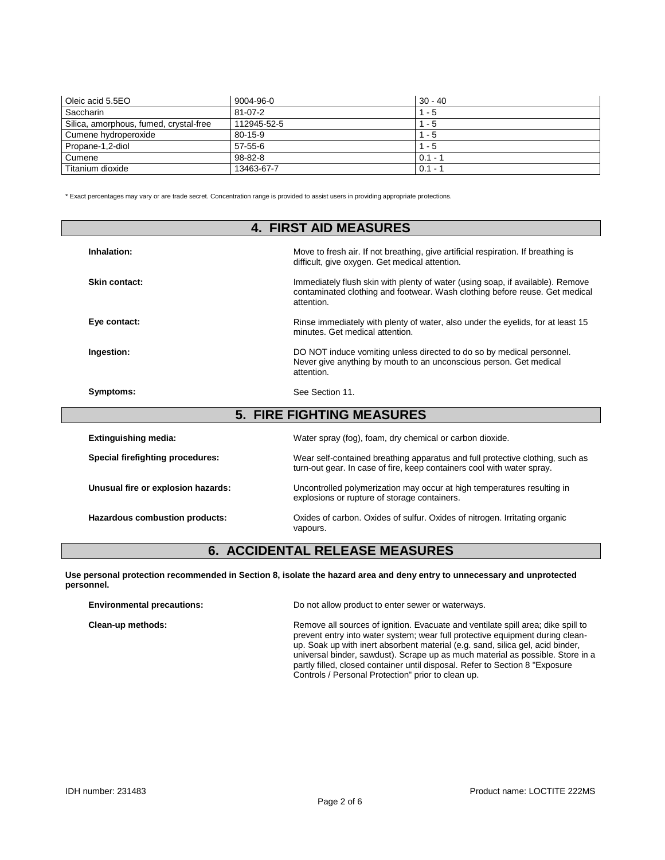| Oleic acid 5.5EO                       | 9004-96-0     | $30 - 40$ |
|----------------------------------------|---------------|-----------|
| Saccharin                              | $81 - 07 - 2$ | - 5       |
| Silica, amorphous, fumed, crystal-free | 112945-52-5   | - 5       |
| Cumene hydroperoxide                   | $80 - 15 - 9$ | - 5       |
| Propane-1,2-diol                       | $57 - 55 - 6$ | - 5       |
| Cumene                                 | $98 - 82 - 8$ | $0.1 -$   |
| Titanium dioxide                       | 13463-67-7    | $0.1 - ?$ |

\* Exact percentages may vary or are trade secret. Concentration range is provided to assist users in providing appropriate protections.

| <b>4. FIRST AID MEASURES</b>       |                                                                                                                                                                             |  |
|------------------------------------|-----------------------------------------------------------------------------------------------------------------------------------------------------------------------------|--|
| Inhalation:                        | Move to fresh air. If not breathing, give artificial respiration. If breathing is<br>difficult, give oxygen. Get medical attention.                                         |  |
| Skin contact:                      | Immediately flush skin with plenty of water (using soap, if available). Remove<br>contaminated clothing and footwear. Wash clothing before reuse. Get medical<br>attention. |  |
| Eye contact:                       | Rinse immediately with plenty of water, also under the eyelids, for at least 15<br>minutes. Get medical attention.                                                          |  |
| Ingestion:                         | DO NOT induce vomiting unless directed to do so by medical personnel.<br>Never give anything by mouth to an unconscious person. Get medical<br>attention.                   |  |
| Symptoms:                          | See Section 11.                                                                                                                                                             |  |
|                                    | <b>5. FIRE FIGHTING MEASURES</b>                                                                                                                                            |  |
| <b>Extinguishing media:</b>        | Water spray (fog), foam, dry chemical or carbon dioxide.                                                                                                                    |  |
| Special firefighting procedures:   | Wear self-contained breathing apparatus and full protective clothing, such as<br>turn-out gear. In case of fire, keep containers cool with water spray.                     |  |
| Unusual fire or explosion hazards: | Uncontrolled polymerization may occur at high temperatures resulting in<br>explosions or rupture of storage containers.                                                     |  |

**Hazardous combustion products:** Oxides of carbon. Oxides of sulfur. Oxides of nitrogen. Irritating organic

# **6. ACCIDENTAL RELEASE MEASURES**

**Use personal protection recommended in Section 8, isolate the hazard area and deny entry to unnecessary and unprotected personnel.**

vapours.

| <b>Environmental precautions:</b> | Do not allow product to enter sewer or waterways.                                                                                                                                                                                                                                                                                                                                                                                                                            |  |
|-----------------------------------|------------------------------------------------------------------------------------------------------------------------------------------------------------------------------------------------------------------------------------------------------------------------------------------------------------------------------------------------------------------------------------------------------------------------------------------------------------------------------|--|
| Clean-up methods:                 | Remove all sources of ignition. Evacuate and ventilate spill area; dike spill to<br>prevent entry into water system; wear full protective equipment during clean-<br>up. Soak up with inert absorbent material (e.g. sand, silica gel, acid binder,<br>universal binder, sawdust). Scrape up as much material as possible. Store in a<br>partly filled, closed container until disposal. Refer to Section 8 "Exposure"<br>Controls / Personal Protection" prior to clean up. |  |
|                                   |                                                                                                                                                                                                                                                                                                                                                                                                                                                                              |  |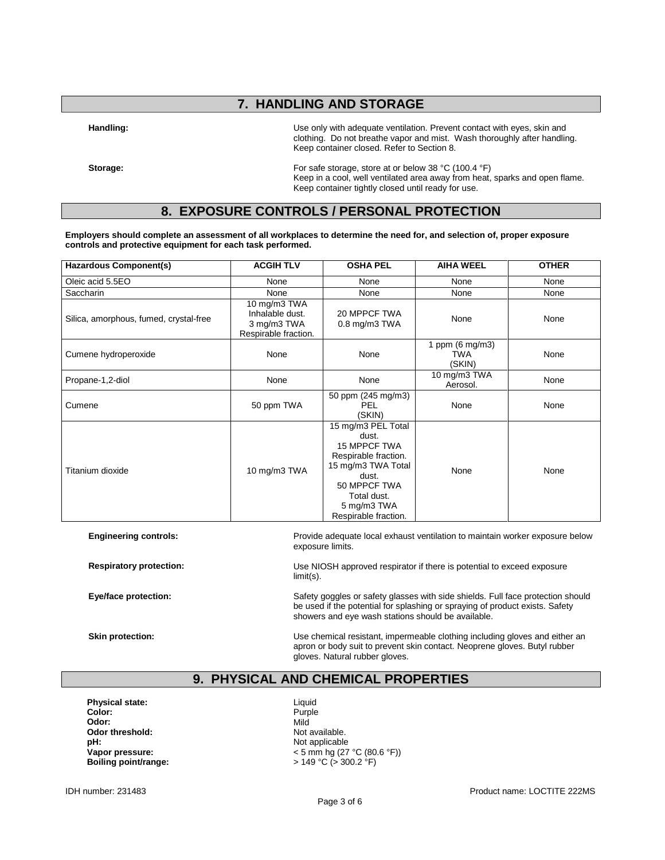## **7. HANDLING AND STORAGE**

**Handling:** Use only with adequate ventilation. Prevent contact with eyes, skin and clothing. Do not breathe vapor and mist. Wash thoroughly after handling. Keep container closed. Refer to Section 8.

**Storage:** For safe storage, store at or below 38 °C (100.4 °F) Keep in a cool, well ventilated area away from heat, sparks and open flame. Keep container tightly closed until ready for use.

## **8. EXPOSURE CONTROLS / PERSONAL PROTECTION**

**Employers should complete an assessment of all workplaces to determine the need for, and selection of, proper exposure controls and protective equipment for each task performed.**

| <b>Hazardous Component(s)</b>          | <b>ACGIH TLV</b>                                                       | <b>OSHA PEL</b>                                                                                                                                                                 | <b>AIHA WEEL</b>                           | <b>OTHER</b> |
|----------------------------------------|------------------------------------------------------------------------|---------------------------------------------------------------------------------------------------------------------------------------------------------------------------------|--------------------------------------------|--------------|
| Oleic acid 5.5EO                       | None                                                                   | None                                                                                                                                                                            | None                                       | None         |
| Saccharin                              | None                                                                   | None                                                                                                                                                                            | None                                       | None         |
| Silica, amorphous, fumed, crystal-free | 10 mg/m3 TWA<br>Inhalable dust.<br>3 mg/m3 TWA<br>Respirable fraction. | 20 MPPCF TWA<br>$0.8$ mg/m $3$ TWA                                                                                                                                              | None                                       | None         |
| Cumene hydroperoxide                   | None                                                                   | None                                                                                                                                                                            | 1 ppm $(6 \text{ mg/m3})$<br>TWA<br>(SKIN) | None         |
| Propane-1,2-diol                       | None                                                                   | None                                                                                                                                                                            | 10 mg/m3 TWA<br>Aerosol.                   | None         |
| Cumene                                 | 50 ppm TWA                                                             | 50 ppm (245 mg/m3)<br><b>PEL</b><br>(SKIN)                                                                                                                                      | None                                       | None         |
| Titanium dioxide                       | 10 mg/m3 TWA                                                           | 15 mg/m3 PEL Total<br>dust.<br><b>15 MPPCF TWA</b><br>Respirable fraction.<br>15 mg/m3 TWA Total<br>dust.<br>50 MPPCF TWA<br>Total dust.<br>5 mg/m3 TWA<br>Respirable fraction. | None                                       | None         |

**Engineering controls:** Provide adequate local exhaust ventilation to maintain worker exposure below exposure limits.

**Respiratory protection:** Use NIOSH approved respirator if there is potential to exceed exposure limit(s).

**Eye/face protection:** Safety goggles or safety glasses with side shields. Full face protection should Safety and Safety goggles or safety glasses with side shields. Full face protection should be used if the potential for splashing or spraying of product exists. Safety showers and eye wash stations should be available.

**Skin protection:** The Use chemical resistant, impermeable clothing including gloves and either an apron or body suit to prevent skin contact. Neoprene gloves. Butyl rubber gloves. Natural rubber gloves.

### **9. PHYSICAL AND CHEMICAL PROPERTIES**

**Physical state:** Liquid Color: Liquid Color: **Color:** Purple **Odor:** Mild **Odor threshold:** Not available.<br> **pH:** Not applicable **pH:**<br> **Vapor pressure:**<br>
Vapor pressure:<br>  $\frac{1}{2}$ 

**Vapor pressure:**  $\leftarrow$  5 mm hg (27 °C (80.6 °F))<br> **Boiling point/range:**  $\leftarrow$  5 mm hg (27 °C (80.6 °F)) **Boiling point/range:** > 149 °C (> 300.2 °F)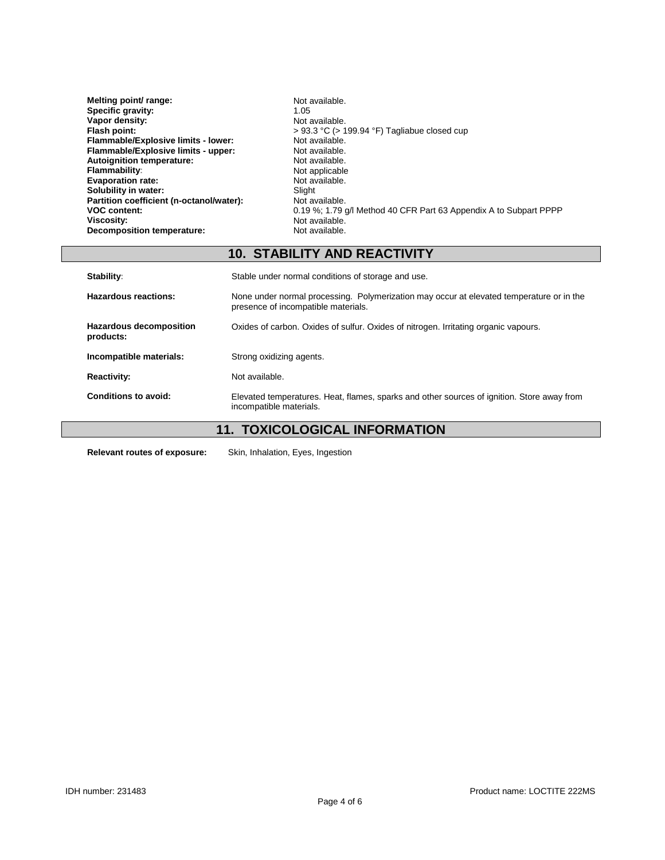| Not available.                                                    |
|-------------------------------------------------------------------|
| 1.05                                                              |
| Not available.                                                    |
| $> 93.3$ °C ( $> 199.94$ °F) Tagliabue closed cup                 |
| Not available.                                                    |
| Not available.                                                    |
| Not available.                                                    |
| Not applicable                                                    |
| Not available.                                                    |
| Slight                                                            |
| Not available.                                                    |
| 0.19 %; 1.79 g/l Method 40 CFR Part 63 Appendix A to Subpart PPPP |
| Not available.                                                    |
| Not available.                                                    |
|                                                                   |

# **10. STABILITY AND REACTIVITY**

| Stability:                                  | Stable under normal conditions of storage and use.                                                                              |  |
|---------------------------------------------|---------------------------------------------------------------------------------------------------------------------------------|--|
| Hazardous reactions:                        | None under normal processing. Polymerization may occur at elevated temperature or in the<br>presence of incompatible materials. |  |
| <b>Hazardous decomposition</b><br>products: | Oxides of carbon. Oxides of sulfur. Oxides of nitrogen. Irritating organic vapours.                                             |  |
| Incompatible materials:                     | Strong oxidizing agents.                                                                                                        |  |
| <b>Reactivity:</b>                          | Not available.                                                                                                                  |  |
| Conditions to avoid:                        | Elevated temperatures. Heat, flames, sparks and other sources of ignition. Store away from<br>incompatible materials.           |  |
| <b>11. TOXICOLOGICAL INFORMATION</b>        |                                                                                                                                 |  |

**Relevant routes of exposure:** Skin, Inhalation, Eyes, Ingestion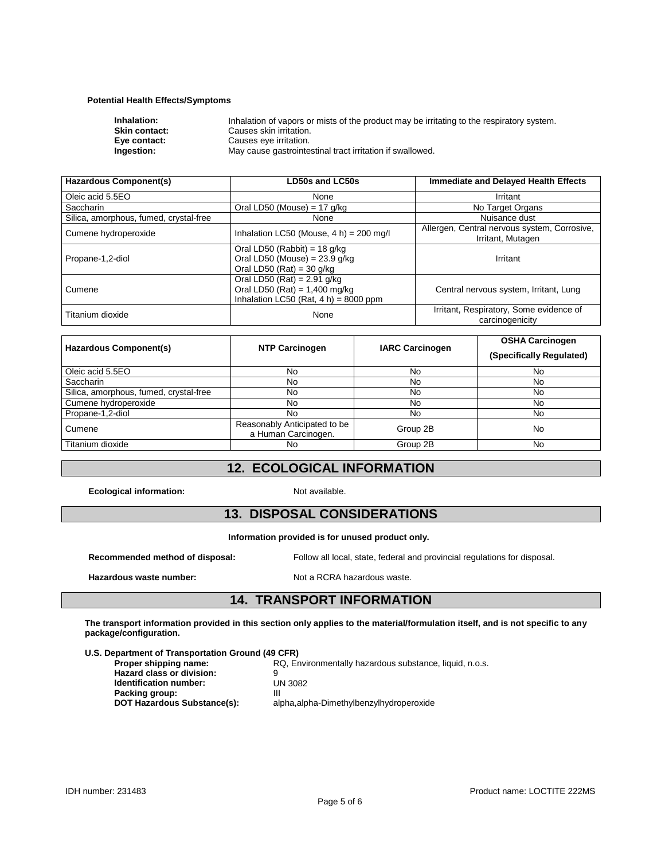### **Potential Health Effects/Symptoms**

| Inhalation:          | Inhalation of vapors or mists of the product may be irritating to the respiratory system. |
|----------------------|-------------------------------------------------------------------------------------------|
| <b>Skin contact:</b> | Causes skin irritation.                                                                   |
| Eve contact:         | Causes eye irritation.                                                                    |
| Ingestion:           | May cause gastrointestinal tract irritation if swallowed.                                 |

| <b>Hazardous Component(s)</b>          | LD50s and LC50s                                                                                              | <b>Immediate and Delayed Health Effects</b>                       |
|----------------------------------------|--------------------------------------------------------------------------------------------------------------|-------------------------------------------------------------------|
| Oleic acid 5.5EO                       | None                                                                                                         | Irritant                                                          |
| Saccharin                              | Oral LD50 (Mouse) = $17$ g/kg                                                                                | No Target Organs                                                  |
| Silica, amorphous, fumed, crystal-free | None                                                                                                         | Nuisance dust                                                     |
| Cumene hydroperoxide                   | Inhalation LC50 (Mouse, $4 h$ ) = 200 mg/l                                                                   | Allergen, Central nervous system, Corrosive,<br>Irritant, Mutagen |
| Propane-1,2-diol                       | Oral LD50 (Rabbit) = $18$ g/kg<br>Oral LD50 (Mouse) = $23.9$ g/kg<br>Oral LD50 (Rat) = 30 g/kg               | Irritant                                                          |
| Cumene                                 | Oral LD50 (Rat) = $2.91$ g/kg<br>Oral LD50 (Rat) = $1,400$ mg/kg<br>Inhalation LC50 (Rat, $4 h$ ) = 8000 ppm | Central nervous system, Irritant, Lung                            |
| Titanium dioxide                       | None                                                                                                         | Irritant, Respiratory, Some evidence of<br>carcinogenicity        |

| Hazardous Component(s)                 | <b>NTP Carcinogen</b>                               | <b>IARC Carcinogen</b> | <b>OSHA Carcinogen</b><br>(Specifically Regulated) |
|----------------------------------------|-----------------------------------------------------|------------------------|----------------------------------------------------|
| Oleic acid 5.5EO                       | No                                                  | No                     | No                                                 |
| <b>Saccharin</b>                       | No                                                  | No                     | No                                                 |
| Silica, amorphous, fumed, crystal-free | No                                                  | No                     | No                                                 |
| Cumene hydroperoxide                   | No                                                  | No                     | No                                                 |
| Propane-1,2-diol                       | No.                                                 | No                     | No                                                 |
| Cumene                                 | Reasonably Anticipated to be<br>a Human Carcinogen. | Group 2B               | No                                                 |
| Titanium dioxide                       | No                                                  | Group 2B               | No                                                 |

### **12. ECOLOGICAL INFORMATION**

**Ecological information:** Not available.

## **13. DISPOSAL CONSIDERATIONS**

**Information provided is for unused product only.**

**Recommended method of disposal:** Follow all local, state, federal and provincial regulations for disposal.

**Hazardous waste number:** Not a RCRA hazardous waste.

### **14. TRANSPORT INFORMATION**

**The transport information provided in this section only applies to the material/formulation itself, and is not specific to any package/configuration.**

### **U.S. Department of Transportation Ground (49 CFR)**

| Proper shipping name:              | RQ, Environmentally hazardous substance, liquid, n.o.s. |
|------------------------------------|---------------------------------------------------------|
| <b>Hazard class or division:</b>   |                                                         |
| <b>Identification number:</b>      | <b>UN 3082</b>                                          |
| Packing group:                     | Ш                                                       |
| <b>DOT Hazardous Substance(s):</b> | alpha, alpha-Dimethylbenzylhydroperoxide                |